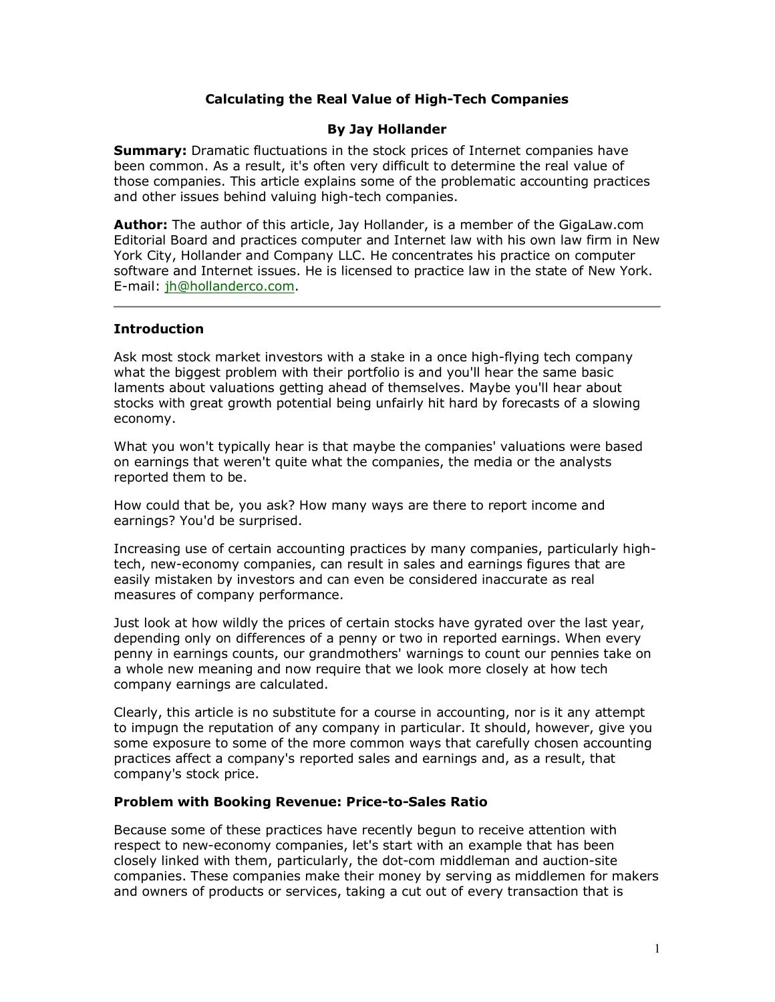# **Calculating the Real Value of High-Tech Companies**

### **By Jay Hollander**

**Summary:** Dramatic fluctuations in the stock prices of Internet companies have been common. As a result, it's often very difficult to determine the real value of those companies. This article explains some of the problematic accounting practices and other issues behind valuing high-tech companies.

**Author:** The author of this article, Jay Hollander, is a member of the GigaLaw.com Editorial Board and practices computer and Internet law with his own law firm in New York City, Hollander and Company LLC. He concentrates his practice on computer software and Internet issues. He is licensed to practice law in the state of New York. E-mail: [jh@hollanderco.com.](mailto:jh@hollanderco.com?subject=GigaLaw.com article)

### **Introduction**

Ask most stock market investors with a stake in a once high-flying tech company what the biggest problem with their portfolio is and you'll hear the same basic laments about valuations getting ahead of themselves. Maybe you'll hear about stocks with great growth potential being unfairly hit hard by forecasts of a slowing economy.

What you won't typically hear is that maybe the companies' valuations were based on earnings that weren't quite what the companies, the media or the analysts reported them to be.

How could that be, you ask? How many ways are there to report income and earnings? You'd be surprised.

Increasing use of certain accounting practices by many companies, particularly hightech, new-economy companies, can result in sales and earnings figures that are easily mistaken by investors and can even be considered inaccurate as real measures of company performance.

Just look at how wildly the prices of certain stocks have gyrated over the last year, depending only on differences of a penny or two in reported earnings. When every penny in earnings counts, our grandmothers' warnings to count our pennies take on a whole new meaning and now require that we look more closely at how tech company earnings are calculated.

Clearly, this article is no substitute for a course in accounting, nor is it any attempt to impugn the reputation of any company in particular. It should, however, give you some exposure to some of the more common ways that carefully chosen accounting practices affect a company's reported sales and earnings and, as a result, that company's stock price.

#### **Problem with Booking Revenue: Price-to-Sales Ratio**

Because some of these practices have recently begun to receive attention with respect to new-economy companies, let's start with an example that has been closely linked with them, particularly, the dot-com middleman and auction-site companies. These companies make their money by serving as middlemen for makers and owners of products or services, taking a cut out of every transaction that is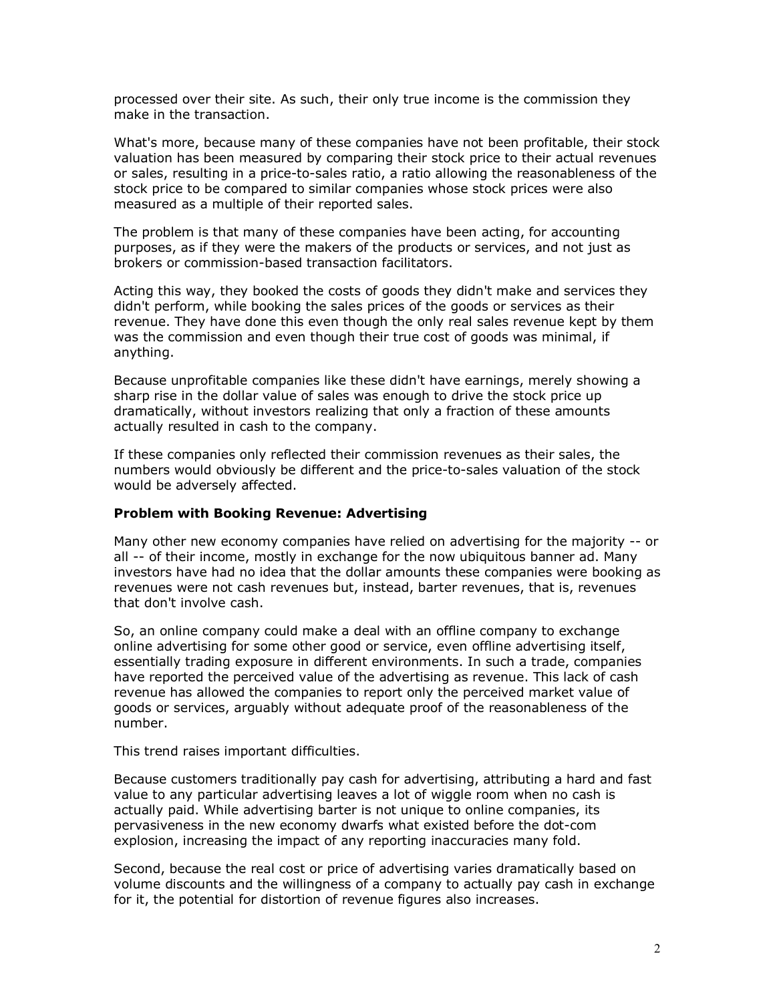processed over their site. As such, their only true income is the commission they make in the transaction.

What's more, because many of these companies have not been profitable, their stock valuation has been measured by comparing their stock price to their actual revenues or sales, resulting in a price-to-sales ratio, a ratio allowing the reasonableness of the stock price to be compared to similar companies whose stock prices were also measured as a multiple of their reported sales.

The problem is that many of these companies have been acting, for accounting purposes, as if they were the makers of the products or services, and not just as brokers or commission-based transaction facilitators.

Acting this way, they booked the costs of goods they didn't make and services they didn't perform, while booking the sales prices of the goods or services as their revenue. They have done this even though the only real sales revenue kept by them was the commission and even though their true cost of goods was minimal, if anything.

Because unprofitable companies like these didn't have earnings, merely showing a sharp rise in the dollar value of sales was enough to drive the stock price up dramatically, without investors realizing that only a fraction of these amounts actually resulted in cash to the company.

If these companies only reflected their commission revenues as their sales, the numbers would obviously be different and the price-to-sales valuation of the stock would be adversely affected.

#### **Problem with Booking Revenue: Advertising**

Many other new economy companies have relied on advertising for the majority -- or all -- of their income, mostly in exchange for the now ubiquitous banner ad. Many investors have had no idea that the dollar amounts these companies were booking as revenues were not cash revenues but, instead, barter revenues, that is, revenues that don't involve cash.

So, an online company could make a deal with an offline company to exchange online advertising for some other good or service, even offline advertising itself, essentially trading exposure in different environments. In such a trade, companies have reported the perceived value of the advertising as revenue. This lack of cash revenue has allowed the companies to report only the perceived market value of goods or services, arguably without adequate proof of the reasonableness of the number.

This trend raises important difficulties.

Because customers traditionally pay cash for advertising, attributing a hard and fast value to any particular advertising leaves a lot of wiggle room when no cash is actually paid. While advertising barter is not unique to online companies, its pervasiveness in the new economy dwarfs what existed before the dot-com explosion, increasing the impact of any reporting inaccuracies many fold.

Second, because the real cost or price of advertising varies dramatically based on volume discounts and the willingness of a company to actually pay cash in exchange for it, the potential for distortion of revenue figures also increases.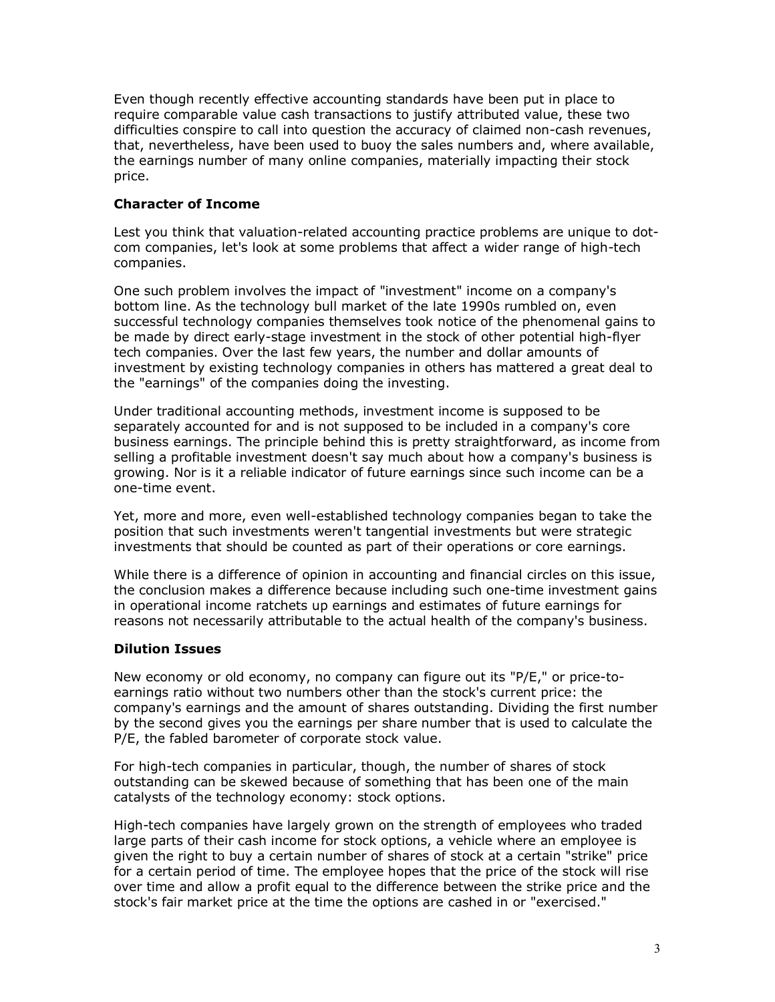Even though recently effective accounting standards have been put in place to require comparable value cash transactions to justify attributed value, these two difficulties conspire to call into question the accuracy of claimed non-cash revenues, that, nevertheless, have been used to buoy the sales numbers and, where available, the earnings number of many online companies, materially impacting their stock price.

# **Character of Income**

Lest you think that valuation-related accounting practice problems are unique to dotcom companies, let's look at some problems that affect a wider range of high-tech companies.

One such problem involves the impact of "investment" income on a company's bottom line. As the technology bull market of the late 1990s rumbled on, even successful technology companies themselves took notice of the phenomenal gains to be made by direct early-stage investment in the stock of other potential high-flyer tech companies. Over the last few years, the number and dollar amounts of investment by existing technology companies in others has mattered a great deal to the "earnings" of the companies doing the investing.

Under traditional accounting methods, investment income is supposed to be separately accounted for and is not supposed to be included in a company's core business earnings. The principle behind this is pretty straightforward, as income from selling a profitable investment doesn't say much about how a company's business is growing. Nor is it a reliable indicator of future earnings since such income can be a one-time event.

Yet, more and more, even well-established technology companies began to take the position that such investments weren't tangential investments but were strategic investments that should be counted as part of their operations or core earnings.

While there is a difference of opinion in accounting and financial circles on this issue, the conclusion makes a difference because including such one-time investment gains in operational income ratchets up earnings and estimates of future earnings for reasons not necessarily attributable to the actual health of the company's business.

### **Dilution Issues**

New economy or old economy, no company can figure out its "P/E," or price-toearnings ratio without two numbers other than the stock's current price: the company's earnings and the amount of shares outstanding. Dividing the first number by the second gives you the earnings per share number that is used to calculate the P/E, the fabled barometer of corporate stock value.

For high-tech companies in particular, though, the number of shares of stock outstanding can be skewed because of something that has been one of the main catalysts of the technology economy: stock options.

High-tech companies have largely grown on the strength of employees who traded large parts of their cash income for stock options, a vehicle where an employee is given the right to buy a certain number of shares of stock at a certain "strike" price for a certain period of time. The employee hopes that the price of the stock will rise over time and allow a profit equal to the difference between the strike price and the stock's fair market price at the time the options are cashed in or "exercised."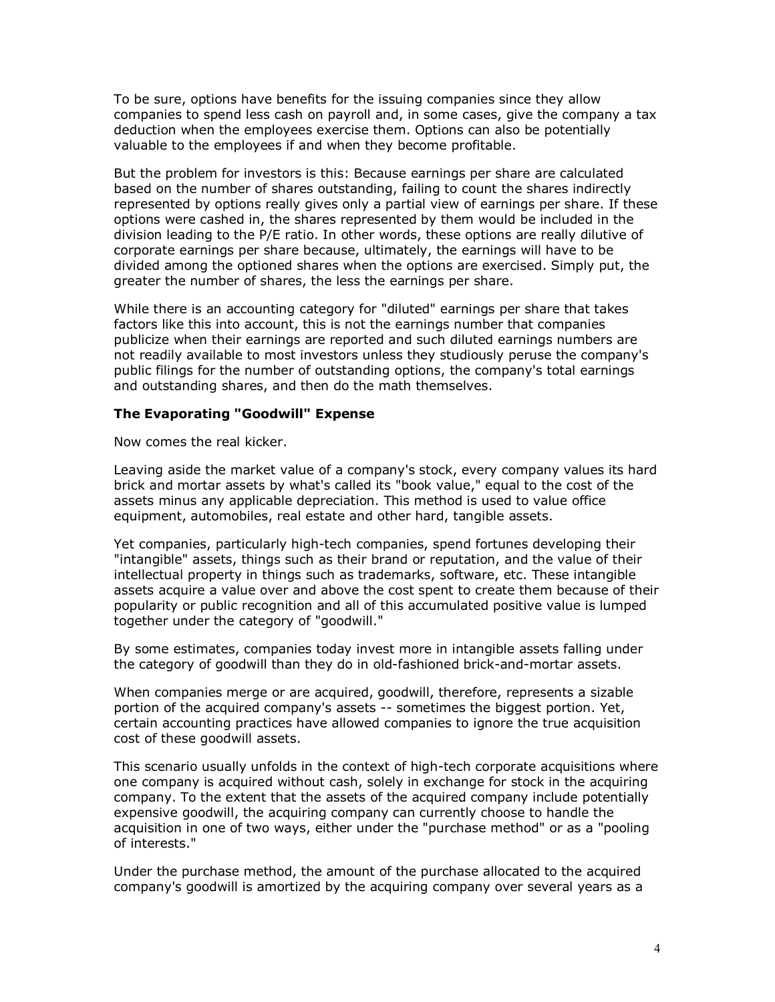To be sure, options have benefits for the issuing companies since they allow companies to spend less cash on payroll and, in some cases, give the company a tax deduction when the employees exercise them. Options can also be potentially valuable to the employees if and when they become profitable.

But the problem for investors is this: Because earnings per share are calculated based on the number of shares outstanding, failing to count the shares indirectly represented by options really gives only a partial view of earnings per share. If these options were cashed in, the shares represented by them would be included in the division leading to the P/E ratio. In other words, these options are really dilutive of corporate earnings per share because, ultimately, the earnings will have to be divided among the optioned shares when the options are exercised. Simply put, the greater the number of shares, the less the earnings per share.

While there is an accounting category for "diluted" earnings per share that takes factors like this into account, this is not the earnings number that companies publicize when their earnings are reported and such diluted earnings numbers are not readily available to most investors unless they studiously peruse the company's public filings for the number of outstanding options, the company's total earnings and outstanding shares, and then do the math themselves.

## **The Evaporating "Goodwill" Expense**

Now comes the real kicker.

Leaving aside the market value of a company's stock, every company values its hard brick and mortar assets by what's called its "book value," equal to the cost of the assets minus any applicable depreciation. This method is used to value office equipment, automobiles, real estate and other hard, tangible assets.

Yet companies, particularly high-tech companies, spend fortunes developing their "intangible" assets, things such as their brand or reputation, and the value of their intellectual property in things such as trademarks, software, etc. These intangible assets acquire a value over and above the cost spent to create them because of their popularity or public recognition and all of this accumulated positive value is lumped together under the category of "goodwill."

By some estimates, companies today invest more in intangible assets falling under the category of goodwill than they do in old-fashioned brick-and-mortar assets.

When companies merge or are acquired, goodwill, therefore, represents a sizable portion of the acquired company's assets -- sometimes the biggest portion. Yet, certain accounting practices have allowed companies to ignore the true acquisition cost of these goodwill assets.

This scenario usually unfolds in the context of high-tech corporate acquisitions where one company is acquired without cash, solely in exchange for stock in the acquiring company. To the extent that the assets of the acquired company include potentially expensive goodwill, the acquiring company can currently choose to handle the acquisition in one of two ways, either under the "purchase method" or as a "pooling of interests."

Under the purchase method, the amount of the purchase allocated to the acquired company's goodwill is amortized by the acquiring company over several years as a